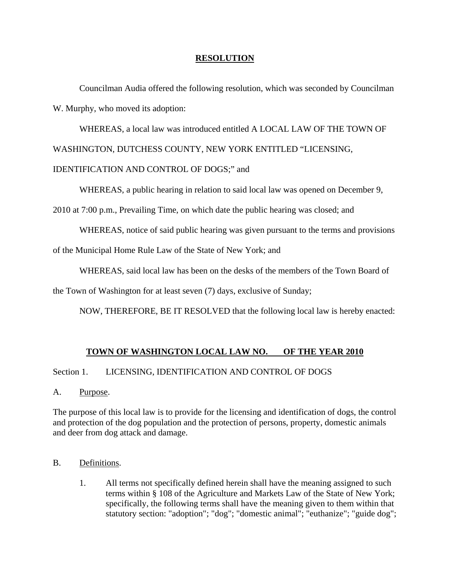#### **RESOLUTION**

 Councilman Audia offered the following resolution, which was seconded by Councilman W. Murphy, who moved its adoption:

 WHEREAS, a local law was introduced entitled A LOCAL LAW OF THE TOWN OF WASHINGTON, DUTCHESS COUNTY, NEW YORK ENTITLED "LICENSING, IDENTIFICATION AND CONTROL OF DOGS;" and

WHEREAS, a public hearing in relation to said local law was opened on December 9,

2010 at 7:00 p.m., Prevailing Time, on which date the public hearing was closed; and

WHEREAS, notice of said public hearing was given pursuant to the terms and provisions

of the Municipal Home Rule Law of the State of New York; and

WHEREAS, said local law has been on the desks of the members of the Town Board of

the Town of Washington for at least seven (7) days, exclusive of Sunday;

NOW, THEREFORE, BE IT RESOLVED that the following local law is hereby enacted:

### **TOWN OF WASHINGTON LOCAL LAW NO. OF THE YEAR 2010**

#### Section 1. LICENSING, IDENTIFICATION AND CONTROL OF DOGS

A. Purpose.

The purpose of this local law is to provide for the licensing and identification of dogs, the control and protection of the dog population and the protection of persons, property, domestic animals and deer from dog attack and damage.

#### B. Definitions.

1. All terms not specifically defined herein shall have the meaning assigned to such terms within § 108 of the Agriculture and Markets Law of the State of New York; specifically, the following terms shall have the meaning given to them within that statutory section: "adoption"; "dog"; "domestic animal"; "euthanize"; "guide dog";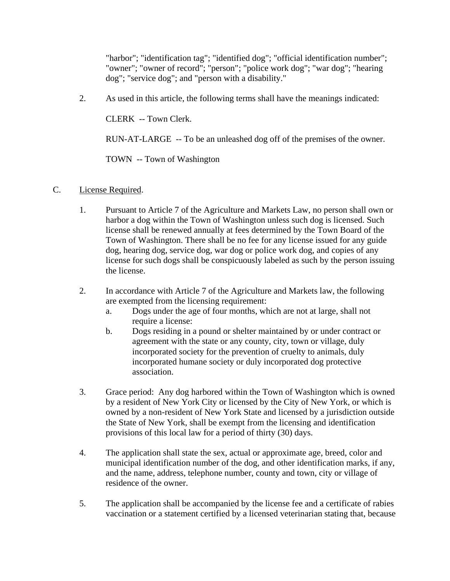"harbor"; "identification tag"; "identified dog"; "official identification number"; "owner"; "owner of record"; "person"; "police work dog"; "war dog"; "hearing dog"; "service dog"; and "person with a disability."

2. As used in this article, the following terms shall have the meanings indicated:

CLERK -- Town Clerk.

RUN-AT-LARGE -- To be an unleashed dog off of the premises of the owner.

TOWN -- Town of Washington

- C. License Required.
	- 1. Pursuant to Article 7 of the Agriculture and Markets Law, no person shall own or harbor a dog within the Town of Washington unless such dog is licensed. Such license shall be renewed annually at fees determined by the Town Board of the Town of Washington. There shall be no fee for any license issued for any guide dog, hearing dog, service dog, war dog or police work dog, and copies of any license for such dogs shall be conspicuously labeled as such by the person issuing the license.
	- 2. In accordance with Article 7 of the Agriculture and Markets law, the following are exempted from the licensing requirement:
		- a. Dogs under the age of four months, which are not at large, shall not require a license:
		- b. Dogs residing in a pound or shelter maintained by or under contract or agreement with the state or any county, city, town or village, duly incorporated society for the prevention of cruelty to animals, duly incorporated humane society or duly incorporated dog protective association.
	- 3. Grace period: Any dog harbored within the Town of Washington which is owned by a resident of New York City or licensed by the City of New York, or which is owned by a non-resident of New York State and licensed by a jurisdiction outside the State of New York, shall be exempt from the licensing and identification provisions of this local law for a period of thirty (30) days.
	- 4. The application shall state the sex, actual or approximate age, breed, color and municipal identification number of the dog, and other identification marks, if any, and the name, address, telephone number, county and town, city or village of residence of the owner.
	- 5. The application shall be accompanied by the license fee and a certificate of rabies vaccination or a statement certified by a licensed veterinarian stating that, because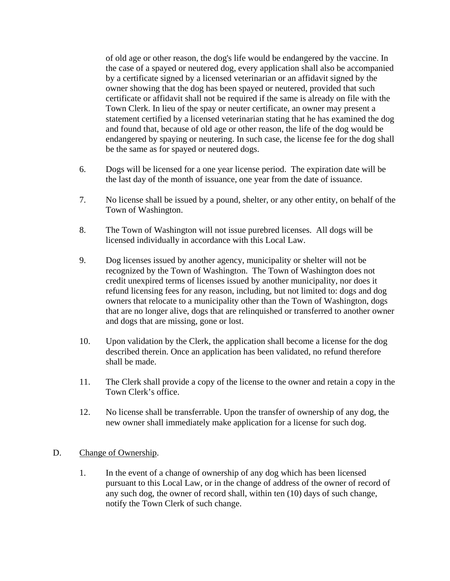of old age or other reason, the dog's life would be endangered by the vaccine. In the case of a spayed or neutered dog, every application shall also be accompanied by a certificate signed by a licensed veterinarian or an affidavit signed by the owner showing that the dog has been spayed or neutered, provided that such certificate or affidavit shall not be required if the same is already on file with the Town Clerk. In lieu of the spay or neuter certificate, an owner may present a statement certified by a licensed veterinarian stating that he has examined the dog and found that, because of old age or other reason, the life of the dog would be endangered by spaying or neutering. In such case, the license fee for the dog shall be the same as for spayed or neutered dogs.

- 6. Dogs will be licensed for a one year license period. The expiration date will be the last day of the month of issuance, one year from the date of issuance.
- 7. No license shall be issued by a pound, shelter, or any other entity, on behalf of the Town of Washington.
- 8. The Town of Washington will not issue purebred licenses. All dogs will be licensed individually in accordance with this Local Law.
- 9. Dog licenses issued by another agency, municipality or shelter will not be recognized by the Town of Washington. The Town of Washington does not credit unexpired terms of licenses issued by another municipality, nor does it refund licensing fees for any reason, including, but not limited to: dogs and dog owners that relocate to a municipality other than the Town of Washington, dogs that are no longer alive, dogs that are relinquished or transferred to another owner and dogs that are missing, gone or lost.
- 10. Upon validation by the Clerk, the application shall become a license for the dog described therein. Once an application has been validated, no refund therefore shall be made.
- 11. The Clerk shall provide a copy of the license to the owner and retain a copy in the Town Clerk's office.
- 12. No license shall be transferrable. Upon the transfer of ownership of any dog, the new owner shall immediately make application for a license for such dog.

#### D. Change of Ownership.

1. In the event of a change of ownership of any dog which has been licensed pursuant to this Local Law, or in the change of address of the owner of record of any such dog, the owner of record shall, within ten (10) days of such change, notify the Town Clerk of such change.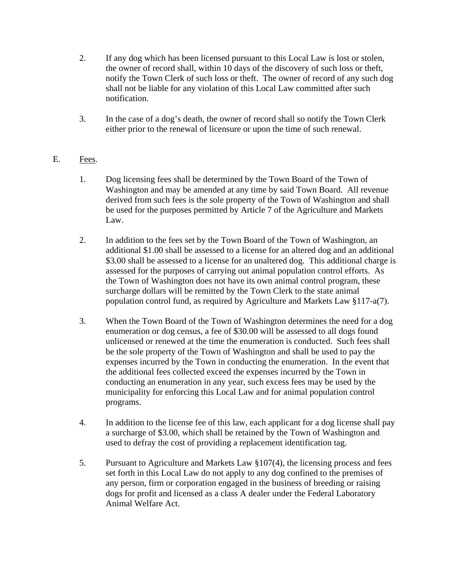- 2. If any dog which has been licensed pursuant to this Local Law is lost or stolen, the owner of record shall, within 10 days of the discovery of such loss or theft, notify the Town Clerk of such loss or theft. The owner of record of any such dog shall not be liable for any violation of this Local Law committed after such notification.
- 3. In the case of a dog's death, the owner of record shall so notify the Town Clerk either prior to the renewal of licensure or upon the time of such renewal.

# E. Fees.

- 1. Dog licensing fees shall be determined by the Town Board of the Town of Washington and may be amended at any time by said Town Board. All revenue derived from such fees is the sole property of the Town of Washington and shall be used for the purposes permitted by Article 7 of the Agriculture and Markets Law.
- 2. In addition to the fees set by the Town Board of the Town of Washington, an additional \$1.00 shall be assessed to a license for an altered dog and an additional \$3.00 shall be assessed to a license for an unaltered dog. This additional charge is assessed for the purposes of carrying out animal population control efforts. As the Town of Washington does not have its own animal control program, these surcharge dollars will be remitted by the Town Clerk to the state animal population control fund, as required by Agriculture and Markets Law §117-a(7).
- 3. When the Town Board of the Town of Washington determines the need for a dog enumeration or dog census, a fee of \$30.00 will be assessed to all dogs found unlicensed or renewed at the time the enumeration is conducted. Such fees shall be the sole property of the Town of Washington and shall be used to pay the expenses incurred by the Town in conducting the enumeration. In the event that the additional fees collected exceed the expenses incurred by the Town in conducting an enumeration in any year, such excess fees may be used by the municipality for enforcing this Local Law and for animal population control programs.
- 4. In addition to the license fee of this law, each applicant for a dog license shall pay a surcharge of \$3.00, which shall be retained by the Town of Washington and used to defray the cost of providing a replacement identification tag.
- 5. Pursuant to Agriculture and Markets Law §107(4), the licensing process and fees set forth in this Local Law do not apply to any dog confined to the premises of any person, firm or corporation engaged in the business of breeding or raising dogs for profit and licensed as a class A dealer under the Federal Laboratory Animal Welfare Act.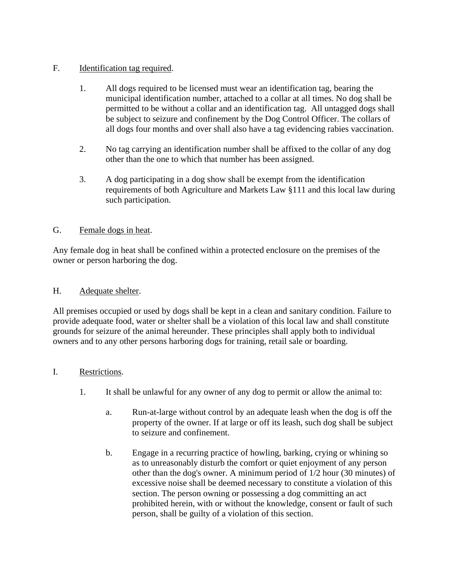## F. Identification tag required.

- 1. All dogs required to be licensed must wear an identification tag, bearing the municipal identification number, attached to a collar at all times. No dog shall be permitted to be without a collar and an identification tag. All untagged dogs shall be subject to seizure and confinement by the Dog Control Officer. The collars of all dogs four months and over shall also have a tag evidencing rabies vaccination.
- 2. No tag carrying an identification number shall be affixed to the collar of any dog other than the one to which that number has been assigned.
- 3. A dog participating in a dog show shall be exempt from the identification requirements of both Agriculture and Markets Law §111 and this local law during such participation.

### G. Female dogs in heat.

Any female dog in heat shall be confined within a protected enclosure on the premises of the owner or person harboring the dog.

### H. Adequate shelter.

All premises occupied or used by dogs shall be kept in a clean and sanitary condition. Failure to provide adequate food, water or shelter shall be a violation of this local law and shall constitute grounds for seizure of the animal hereunder. These principles shall apply both to individual owners and to any other persons harboring dogs for training, retail sale or boarding.

### I. Restrictions.

- 1. It shall be unlawful for any owner of any dog to permit or allow the animal to:
	- a. Run-at-large without control by an adequate leash when the dog is off the property of the owner. If at large or off its leash, such dog shall be subject to seizure and confinement.
	- b. Engage in a recurring practice of howling, barking, crying or whining so as to unreasonably disturb the comfort or quiet enjoyment of any person other than the dog's owner. A minimum period of 1/2 hour (30 minutes) of excessive noise shall be deemed necessary to constitute a violation of this section. The person owning or possessing a dog committing an act prohibited herein, with or without the knowledge, consent or fault of such person, shall be guilty of a violation of this section.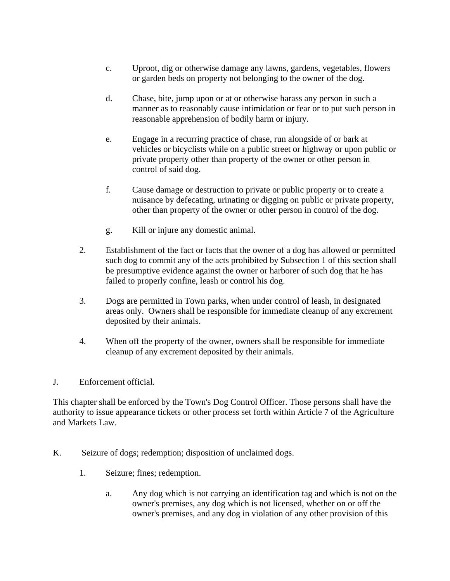- c. Uproot, dig or otherwise damage any lawns, gardens, vegetables, flowers or garden beds on property not belonging to the owner of the dog.
- d. Chase, bite, jump upon or at or otherwise harass any person in such a manner as to reasonably cause intimidation or fear or to put such person in reasonable apprehension of bodily harm or injury.
- e. Engage in a recurring practice of chase, run alongside of or bark at vehicles or bicyclists while on a public street or highway or upon public or private property other than property of the owner or other person in control of said dog.
- f. Cause damage or destruction to private or public property or to create a nuisance by defecating, urinating or digging on public or private property, other than property of the owner or other person in control of the dog.
- g. Kill or injure any domestic animal.
- 2. Establishment of the fact or facts that the owner of a dog has allowed or permitted such dog to commit any of the acts prohibited by Subsection 1 of this section shall be presumptive evidence against the owner or harborer of such dog that he has failed to properly confine, leash or control his dog.
- 3. Dogs are permitted in Town parks, when under control of leash, in designated areas only. Owners shall be responsible for immediate cleanup of any excrement deposited by their animals.
- 4. When off the property of the owner, owners shall be responsible for immediate cleanup of any excrement deposited by their animals.

### J. Enforcement official.

This chapter shall be enforced by the Town's Dog Control Officer. Those persons shall have the authority to issue appearance tickets or other process set forth within Article 7 of the Agriculture and Markets Law.

- K. Seizure of dogs; redemption; disposition of unclaimed dogs.
	- 1. Seizure; fines; redemption.
		- a. Any dog which is not carrying an identification tag and which is not on the owner's premises, any dog which is not licensed, whether on or off the owner's premises, and any dog in violation of any other provision of this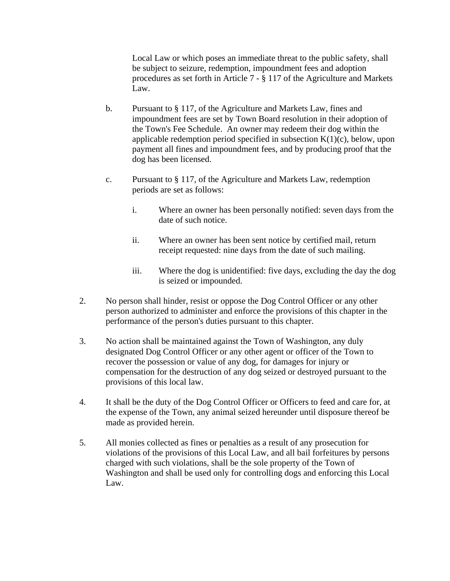Local Law or which poses an immediate threat to the public safety, shall be subject to seizure, redemption, impoundment fees and adoption procedures as set forth in Article 7 - § 117 of the Agriculture and Markets Law.

- b. Pursuant to § 117, of the Agriculture and Markets Law, fines and impoundment fees are set by Town Board resolution in their adoption of the Town's Fee Schedule. An owner may redeem their dog within the applicable redemption period specified in subsection  $K(1)(c)$ , below, upon payment all fines and impoundment fees, and by producing proof that the dog has been licensed.
- c. Pursuant to § 117, of the Agriculture and Markets Law, redemption periods are set as follows:
	- i. Where an owner has been personally notified: seven days from the date of such notice.
	- ii. Where an owner has been sent notice by certified mail, return receipt requested: nine days from the date of such mailing.
	- iii. Where the dog is unidentified: five days, excluding the day the dog is seized or impounded.
- 2. No person shall hinder, resist or oppose the Dog Control Officer or any other person authorized to administer and enforce the provisions of this chapter in the performance of the person's duties pursuant to this chapter.
- 3. No action shall be maintained against the Town of Washington, any duly designated Dog Control Officer or any other agent or officer of the Town to recover the possession or value of any dog, for damages for injury or compensation for the destruction of any dog seized or destroyed pursuant to the provisions of this local law.
- 4. It shall be the duty of the Dog Control Officer or Officers to feed and care for, at the expense of the Town, any animal seized hereunder until disposure thereof be made as provided herein.
- 5. All monies collected as fines or penalties as a result of any prosecution for violations of the provisions of this Local Law, and all bail forfeitures by persons charged with such violations, shall be the sole property of the Town of Washington and shall be used only for controlling dogs and enforcing this Local Law.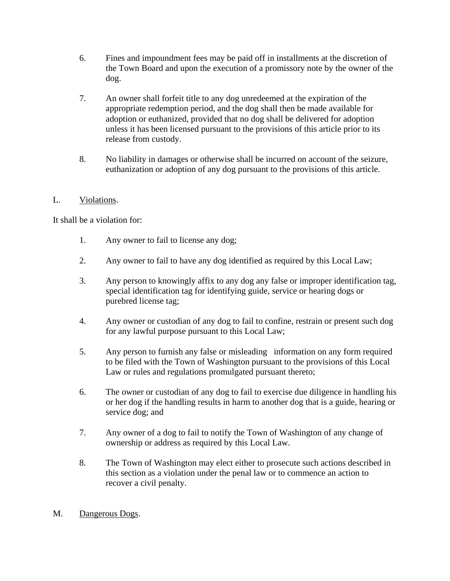- 6. Fines and impoundment fees may be paid off in installments at the discretion of the Town Board and upon the execution of a promissory note by the owner of the dog.
- 7. An owner shall forfeit title to any dog unredeemed at the expiration of the appropriate redemption period, and the dog shall then be made available for adoption or euthanized, provided that no dog shall be delivered for adoption unless it has been licensed pursuant to the provisions of this article prior to its release from custody.
- 8. No liability in damages or otherwise shall be incurred on account of the seizure, euthanization or adoption of any dog pursuant to the provisions of this article.

# L. Violations.

It shall be a violation for:

- 1. Any owner to fail to license any dog;
- 2. Any owner to fail to have any dog identified as required by this Local Law;
- 3. Any person to knowingly affix to any dog any false or improper identification tag, special identification tag for identifying guide, service or hearing dogs or purebred license tag;
- 4. Any owner or custodian of any dog to fail to confine, restrain or present such dog for any lawful purpose pursuant to this Local Law;
- 5. Any person to furnish any false or misleading information on any form required to be filed with the Town of Washington pursuant to the provisions of this Local Law or rules and regulations promulgated pursuant thereto;
- 6. The owner or custodian of any dog to fail to exercise due diligence in handling his or her dog if the handling results in harm to another dog that is a guide, hearing or service dog; and
- 7. Any owner of a dog to fail to notify the Town of Washington of any change of ownership or address as required by this Local Law.
- 8. The Town of Washington may elect either to prosecute such actions described in this section as a violation under the penal law or to commence an action to recover a civil penalty.

### M. Dangerous Dogs.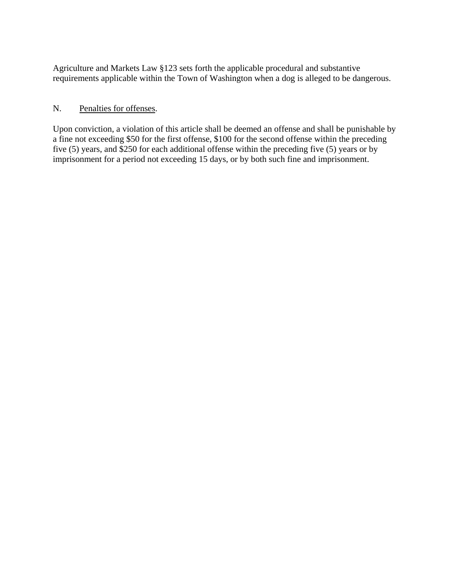Agriculture and Markets Law §123 sets forth the applicable procedural and substantive requirements applicable within the Town of Washington when a dog is alleged to be dangerous.

### N. Penalties for offenses.

Upon conviction, a violation of this article shall be deemed an offense and shall be punishable by a fine not exceeding \$50 for the first offense, \$100 for the second offense within the preceding five (5) years, and \$250 for each additional offense within the preceding five (5) years or by imprisonment for a period not exceeding 15 days, or by both such fine and imprisonment.